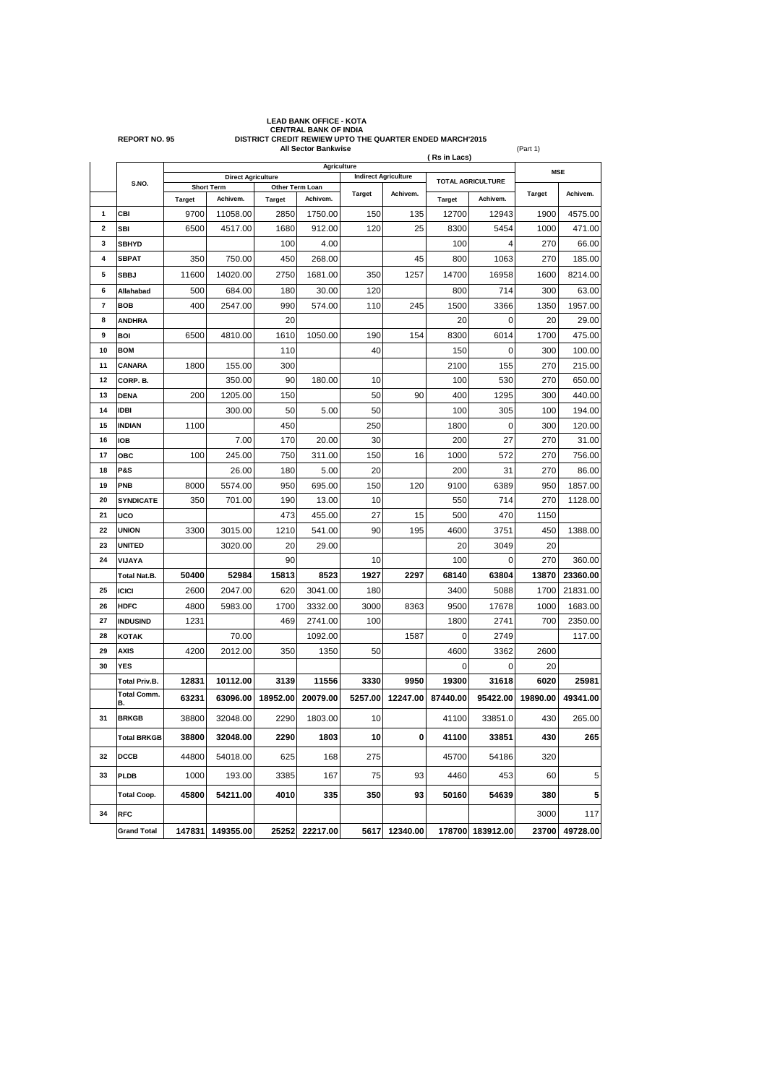|                         | <b>CENTRAL BANK OF INDIA</b><br><b>REPORT NO. 95</b><br>DISTRICT CREDIT REWIEW UPTO THE QUARTER ENDED MARCH'2015<br>All Sector Bankwise<br>(Part 1) |                           |                                    |                                  |                 |                             |               |                          |                  |               |          |
|-------------------------|-----------------------------------------------------------------------------------------------------------------------------------------------------|---------------------------|------------------------------------|----------------------------------|-----------------|-----------------------------|---------------|--------------------------|------------------|---------------|----------|
|                         |                                                                                                                                                     |                           | (Rs in Lacs)<br><b>Agriculture</b> |                                  |                 |                             |               |                          |                  |               |          |
|                         | S.NO.                                                                                                                                               | <b>Direct Agriculture</b> |                                    |                                  |                 | <b>Indirect Agriculture</b> |               | <b>TOTAL AGRICULTURE</b> |                  | <b>MSE</b>    |          |
|                         |                                                                                                                                                     | <b>Target</b>             | Short Term<br>Achivem.             | Other Term Loan<br><b>Target</b> | Achivem.        | <b>Target</b>               | Achivem.      | <b>Target</b>            | Achivem.         | <b>Target</b> | Achivem. |
| 1                       | CBI                                                                                                                                                 | 9700                      | 11058.00                           | 2850                             | 1750.00         | 150                         | 135           | 12700                    | 12943            | 1900          | 4575.00  |
| $\overline{\mathbf{2}}$ | SBI                                                                                                                                                 | 6500                      | 4517.00                            | 1680                             | 912.00          | 120                         | 25            | 8300                     | 5454             | 1000          | 471.00   |
| 3                       | <b>SBHYD</b>                                                                                                                                        |                           |                                    | 100                              | 4.00            |                             |               | 100                      | 4                | 270           | 66.00    |
| 4                       | <b>SBPAT</b>                                                                                                                                        | 350                       | 750.00                             | 450                              | 268.00          |                             | 45            | 800                      | 1063             | 270           | 185.00   |
| 5                       | <b>SBBJ</b>                                                                                                                                         | 11600                     | 14020.00                           | 2750                             | 1681.00         | 350                         | 1257          | 14700                    | 16958            | 1600          | 8214.00  |
| 6                       | Allahabad                                                                                                                                           | 500                       | 684.00                             | 180                              | 30.00           | 120                         |               | 800                      | 714              | 300           | 63.00    |
| 7                       | <b>BOB</b>                                                                                                                                          | 400                       | 2547.00                            | 990                              | 574.00          | 110                         | 245           | 1500                     | 3366             | 1350          | 1957.00  |
| 8                       | <b>ANDHRA</b>                                                                                                                                       |                           |                                    | 20                               |                 |                             |               | 20                       | 0                | 20            | 29.00    |
| 9                       | <b>BOI</b>                                                                                                                                          | 6500                      | 4810.00                            | 1610                             | 1050.00         | 190                         | 154           | 8300                     | 6014             | 1700          | 475.00   |
| 10                      | <b>BOM</b>                                                                                                                                          |                           |                                    | 110                              |                 | 40                          |               | 150                      | 0                | 300           | 100.00   |
| 11                      | CANARA                                                                                                                                              | 1800                      | 155.00                             | 300                              |                 |                             |               | 2100                     | 155              | 270           | 215.00   |
| 12                      | CORP. B.                                                                                                                                            |                           | 350.00                             | 90                               | 180.00          | 10                          |               | 100                      | 530              | 270           | 650.00   |
| 13                      | <b>DENA</b>                                                                                                                                         | 200                       | 1205.00                            | 150                              |                 | 50                          | 90            | 400                      | 1295             | 300           | 440.00   |
| 14                      | <b>IDBI</b>                                                                                                                                         |                           | 300.00                             | 50                               | 5.00            | 50                          |               | 100                      | 305              | 100           | 194.00   |
| 15                      | <b>INDIAN</b>                                                                                                                                       | 1100                      |                                    | 450                              |                 | 250                         |               | 1800                     | 0                | 300           | 120.00   |
| 16                      | <b>IOB</b>                                                                                                                                          |                           | 7.00                               | 170                              | 20.00           | 30                          |               | 200                      | 27               | 270           | 31.00    |
| 17                      | ОВС                                                                                                                                                 | 100                       | 245.00                             | 750                              | 311.00          | 150                         | 16            | 1000                     | 572              | 270           | 756.00   |
| 18                      | P&S                                                                                                                                                 |                           | 26.00                              | 180                              | 5.00            | 20                          |               | 200                      | 31               | 270           | 86.00    |
| 19                      | PNB                                                                                                                                                 | 8000                      | 5574.00                            | 950                              | 695.00          | 150                         | 120           | 9100                     | 6389             | 950           | 1857.00  |
| 20<br>21                | <b>SYNDICATE</b><br>uco                                                                                                                             | 350                       | 701.00                             | 190<br>473                       | 13.00<br>455.00 | 10<br>27                    | 15            | 550<br>500               | 714<br>470       | 270<br>1150   | 1128.00  |
| 22                      | <b>UNION</b>                                                                                                                                        | 3300                      | 3015.00                            | 1210                             | 541.00          | 90                          | 195           | 4600                     | 3751             | 450           | 1388.00  |
| 23                      | <b>UNITED</b>                                                                                                                                       |                           | 3020.00                            | 20                               | 29.00           |                             |               | 20                       | 3049             | 20            |          |
| 24                      | VIJAYA                                                                                                                                              |                           |                                    | 90                               |                 | 10                          |               | 100                      | 0                | 270           | 360.00   |
|                         | Total Nat.B.                                                                                                                                        | 50400                     | 52984                              | 15813                            | 8523            | 1927                        | 2297          | 68140                    | 63804            | 13870         | 23360.00 |
| 25                      | <b>ICICI</b>                                                                                                                                        | 2600                      | 2047.00                            | 620                              | 3041.00         | 180                         |               | 3400                     | 5088             | 1700          | 21831.00 |
| 26                      | <b>HDFC</b>                                                                                                                                         | 4800                      | 5983.00                            | 1700                             | 3332.00         | 3000                        | 8363          | 9500                     | 17678            | 1000          | 1683.00  |
| 27                      | <b>INDUSIND</b>                                                                                                                                     | 1231                      |                                    | 469                              | 2741.00         | 100                         |               | 1800                     | 2741             | 700           | 2350.00  |
| 28                      | <b>KOTAK</b>                                                                                                                                        |                           | 70.00                              |                                  | 1092.00         |                             | 1587          | 0                        | 2749             |               | 117.00   |
| 29                      | AXIS                                                                                                                                                | 4200                      | 2012.00                            | 350                              | 1350            | 50                          |               | 4600                     | 3362             | 2600          |          |
| 30                      | <b>YES</b>                                                                                                                                          |                           |                                    |                                  |                 |                             |               | 0                        | 0                | 20            |          |
|                         | <b>Total Priv.B.</b>                                                                                                                                | 12831                     | 10112.00                           | 3139                             | 11556           | 3330                        | 9950          | 19300                    | 31618            | 6020          | 25981    |
|                         | <b>Total Comm.</b><br>B.                                                                                                                            | 63231                     | 63096.00                           | 18952.00                         | 20079.00        | 5257.00                     | 12247.00      | 87440.00                 | 95422.00         | 19890.00      | 49341.00 |
| 31                      | <b>BRKGB</b>                                                                                                                                        | 38800                     | 32048.00                           | 2290                             | 1803.00         | 10                          |               | 41100                    | 33851.0          | 430           | 265.00   |
|                         | <b>Total BRKGB</b>                                                                                                                                  | 38800                     | 32048.00                           | 2290                             | 1803            | 10                          | 0             | 41100                    | 33851            | 430           | 265      |
| 32                      | <b>DCCB</b>                                                                                                                                         | 44800                     | 54018.00                           | 625                              | 168             | 275                         |               | 45700                    | 54186            | 320           |          |
| 33                      | <b>PLDB</b>                                                                                                                                         | 1000                      | 193.00                             | 3385                             | 167             | 75                          | 93            | 4460                     | 453              | 60            | 5        |
|                         | <b>Total Coop.</b>                                                                                                                                  | 45800                     | 54211.00                           | 4010                             | 335             | 350                         | 93            | 50160                    | 54639            | 380           | 5        |
| 34                      | <b>RFC</b>                                                                                                                                          |                           |                                    |                                  |                 |                             |               |                          |                  | 3000          | 117      |
|                         | <b>Grand Total</b>                                                                                                                                  | 147831                    | 149355.00                          | 25252                            | 22217.00        |                             | 5617 12340.00 |                          | 178700 183912.00 | 23700         | 49728.00 |

**LEAD BANK OFFICE - KOTA**